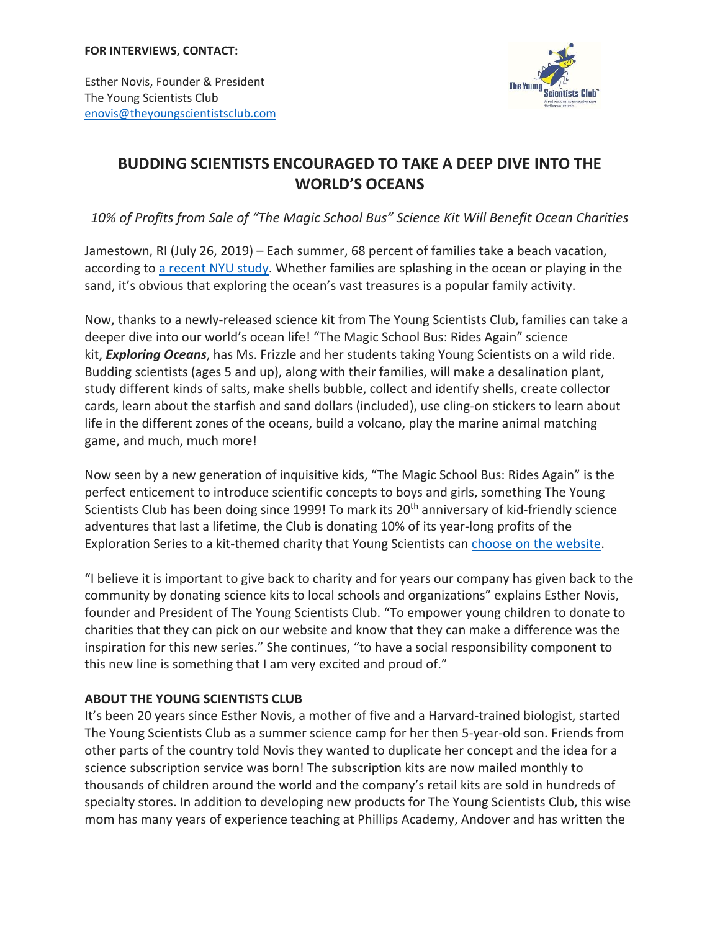

Esther Novis, Founder & President The Young Scientists Club [enovis@theyoungscientistsclub.com](mailto:enovis@theyoungscientistsclub.com)

## **BUDDING SCIENTISTS ENCOURAGED TO TAKE A DEEP DIVE INTO THE WORLD'S OCEANS**

*10% of Profits from Sale of "The Magic School Bus" Science Kit Will Benefit Ocean Charities*

Jamestown, RI (July 26, 2019) – Each summer, 68 percent of families take a beach vacation, according to [a recent NYU study.](https://webcache.googleusercontent.com/search?q=cache:Qaa-iUy8bG8J:https://www.scps.nyu.edu/content/dam/scps/pdf/200/200-4/200-4-16/P1718-0036-2017_Family_Travel_Survey.pdf+&cd=1&hl=en&ct=clnk&gl=us) Whether families are splashing in the ocean or playing in the sand, it's obvious that exploring the ocean's vast treasures is a popular family activity.

Now, thanks to a newly-released science kit from The Young Scientists Club, families can take a deeper dive into our world's ocean life! "The Magic School Bus: Rides Again" science kit, *Exploring Oceans*, has Ms. Frizzle and her students taking Young Scientists on a wild ride. Budding scientists (ages 5 and up), along with their families, will make a desalination plant, study different kinds of salts, make shells bubble, collect and identify shells, create collector cards, learn about the starfish and sand dollars (included), use cling-on stickers to learn about life in the different zones of the oceans, build a volcano, play the marine animal matching game, and much, much more!

Now seen by a new generation of inquisitive kids, "The Magic School Bus: Rides Again" is the perfect enticement to introduce scientific concepts to boys and girls, something The Young Scientists Club has been doing since 1999! To mark its 20<sup>th</sup> anniversary of kid-friendly science adventures that last a lifetime, the Club is donating 10% of its year-long profits of the Exploration Series to a kit-themed charity that Young Scientists can [choose on the website.](http://www.theyoungscientistsclub.com/givesback/)

"I believe it is important to give back to charity and for years our company has given back to the community by donating science kits to local schools and organizations" explains Esther Novis, founder and President of The Young Scientists Club. "To empower young children to donate to charities that they can pick on our website and know that they can make a difference was the inspiration for this new series." She continues, "to have a social responsibility component to this new line is something that I am very excited and proud of."

## **ABOUT THE YOUNG SCIENTISTS CLUB**

It's been 20 years since Esther Novis, a mother of five and a Harvard-trained biologist, started The Young Scientists Club as a summer science camp for her then 5-year-old son. Friends from other parts of the country told Novis they wanted to duplicate her concept and the idea for a science subscription service was born! The subscription kits are now mailed monthly to thousands of children around the world and the company's retail kits are sold in hundreds of specialty stores. In addition to developing new products for The Young Scientists Club, this wise mom has many years of experience teaching at Phillips Academy, Andover and has written the